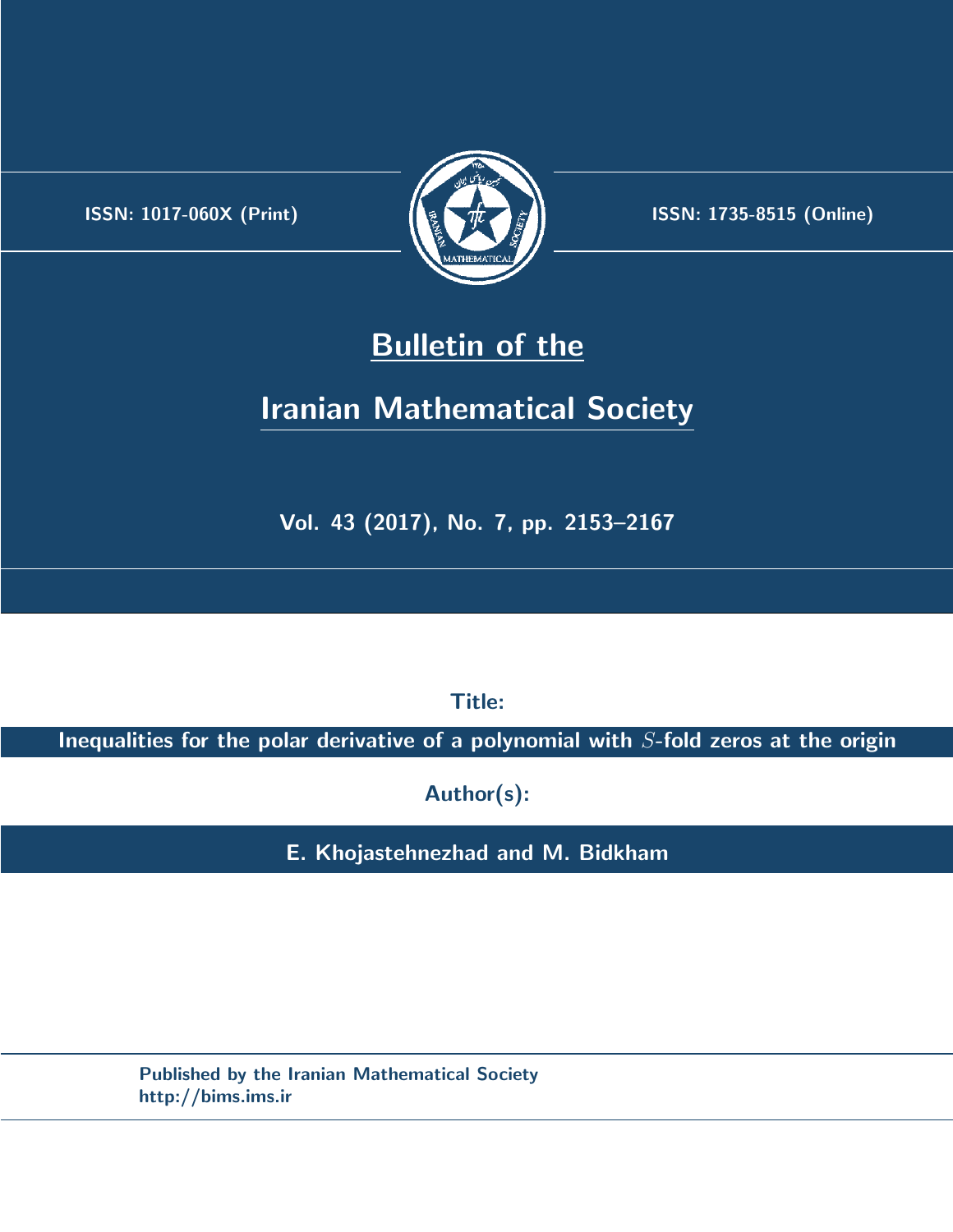.



**ISSN:** 1017-060X (Print)  $\left(\frac{1}{2}\right)$   $\frac{1}{2}$   $\frac{1}{2}$   $\frac{1}{2}$  **ISSN:** 1735-8515 (Online)

## **Bulletin of the**

# **Iranian Mathematical Society**

**Vol. 43 (2017), No. 7, pp. 2153–2167**

**Title:**

**Inequalities for the polar derivative of a polynomial with** *S***-fold zeros at the origin**

**Author(s):**

**E. Khojastehnezhad and M. Bidkham**

**Published by the Iranian Mathematical Society http://bims.ims.ir**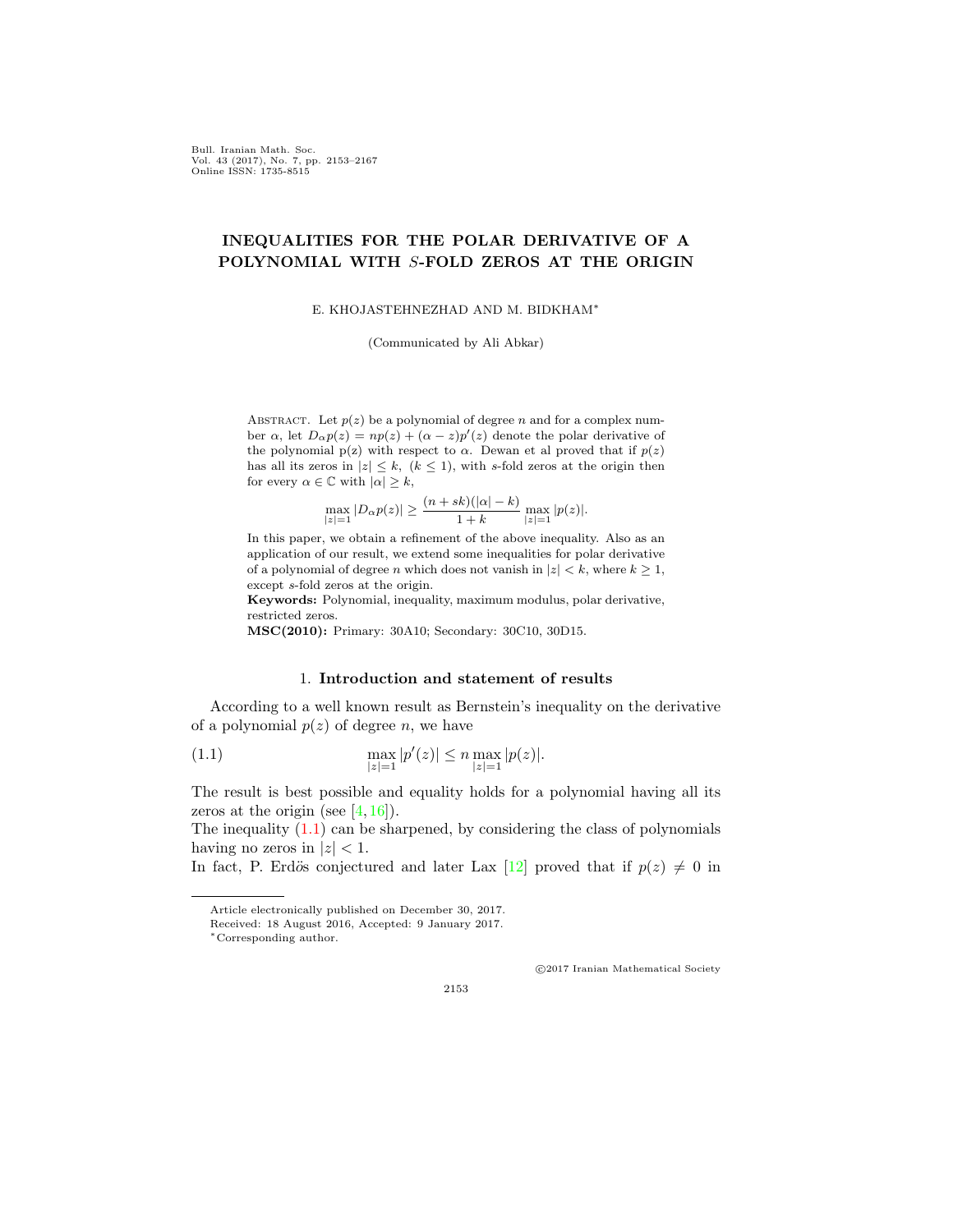Bull. Iranian Math. Soc. Vol. 43 (2017), No. 7, pp. 2153–2167 Online ISSN: 1735-8515

## **INEQUALITIES FOR THE POLAR DERIVATIVE OF A POLYNOMIAL WITH** *S***-FOLD ZEROS AT THE ORIGIN**

E. KHOJASTEHNEZHAD AND M. BIDKHAM*∗*

(Communicated by Ali Abkar)

ABSTRACT. Let  $p(z)$  be a polynomial of degree *n* and for a complex number  $\alpha$ , let  $D_{\alpha}p(z) = np(z) + (\alpha - z)p'(z)$  denote the polar derivative of the polynomial  $p(z)$  with respect to  $\alpha$ . Dewan et al proved that if  $p(z)$ has all its zeros in  $|z| \leq k$ ,  $(k \leq 1)$ , with *s*-fold zeros at the origin then for every  $\alpha \in \mathbb{C}$  with  $|\alpha| \geq k$ ,

$$
\max_{|z|=1} |D_{\alpha}p(z)| \ge \frac{(n+sk)(|\alpha|-k)}{1+k} \max_{|z|=1} |p(z)|.
$$

In this paper, we obtain a refinement of the above inequality. Also as an application of our result, we extend some inequalities for polar derivative of a polynomial of degree *n* which does not vanish in  $|z| < k$ , where  $k \geq 1$ , except *s*-fold zeros at the origin.

**Keywords:** Polynomial, inequality, maximum modulus, polar derivative, restricted zeros.

**MSC(2010):** Primary: 30A10; Secondary: 30C10, 30D15.

### 1. **Introduction and statement of results**

According to a well known result as Bernstein's inequality on the derivative of a polynomial  $p(z)$  of degree *n*, we have

<span id="page-1-0"></span>(1.1) 
$$
\max_{|z|=1} |p'(z)| \le n \max_{|z|=1} |p(z)|.
$$

The result is best possible and equality holds for a polynomial having all its zeros at the origin (see  $[4, 16]$  $[4, 16]$  $[4, 16]$  $[4, 16]$ ).

The inequality  $(1.1)$  can be sharpened, by considering the class of polynomials having no zeros in  $|z|$  < 1.

*⃝*c 2017 Iranian Mathematical Society

2153

In fact, P. Erdös conjectured and later Lax [[12](#page-14-1)] proved that if  $p(z) \neq 0$  in

Article electronically published on December 30, 2017.

Received: 18 August 2016, Accepted: 9 January 2017.

*<sup>∗</sup>*Corresponding author.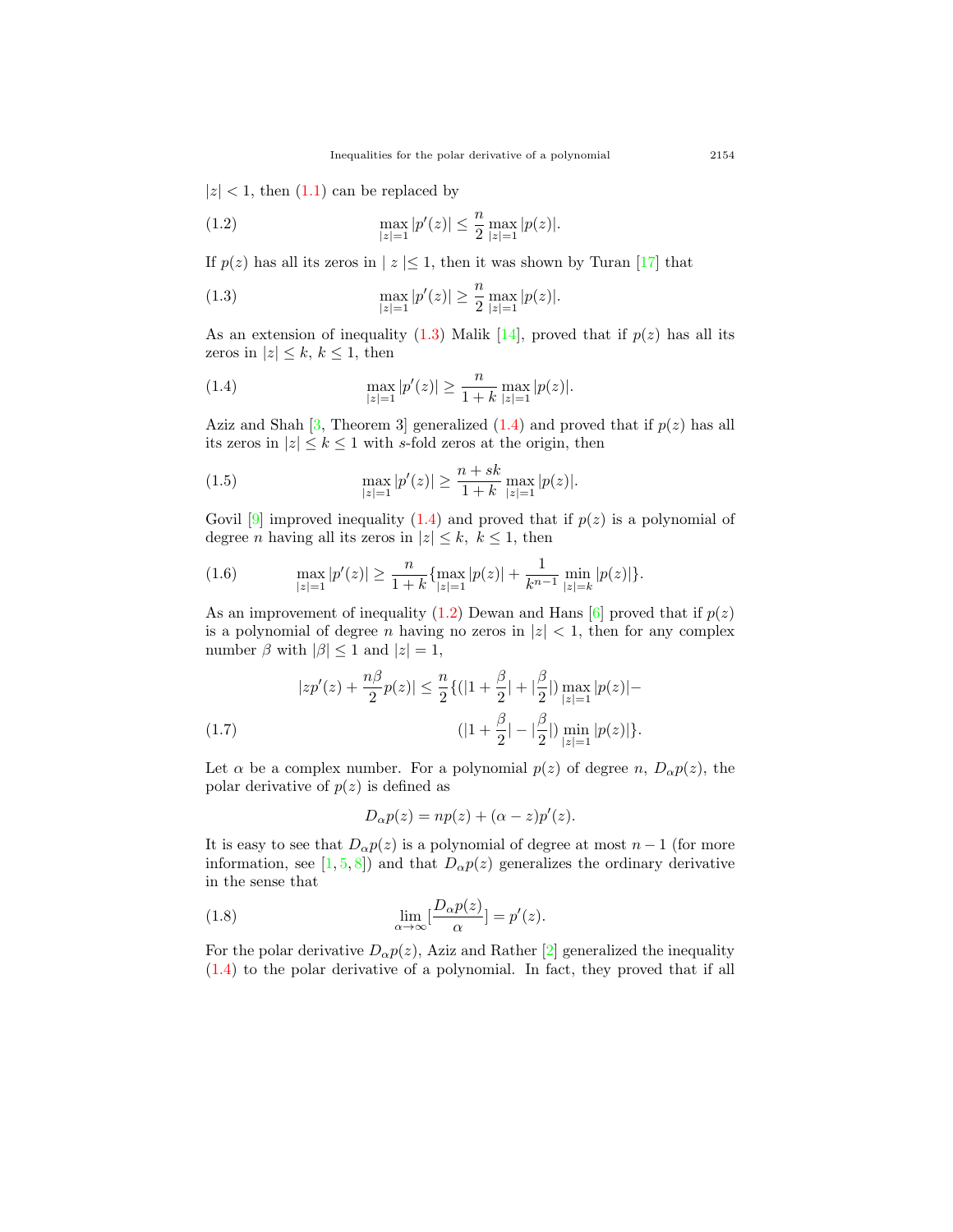$|z|$  < 1, then  $(1.1)$  $(1.1)$  $(1.1)$  can be replaced by

<span id="page-2-2"></span>(1.2) 
$$
\max_{|z|=1} |p'(z)| \leq \frac{n}{2} \max_{|z|=1} |p(z)|.
$$

If  $p(z)$  has all its zeros in  $|z| \leq 1$ , then it was shown by Turan [\[17](#page-15-1)] that

<span id="page-2-0"></span>(1.3) 
$$
\max_{|z|=1} |p'(z)| \geq \frac{n}{2} \max_{|z|=1} |p(z)|.
$$

As an extension of inequality  $(1.3)$  $(1.3)$  $(1.3)$  Malik  $[14]$  $[14]$ , proved that if  $p(z)$  has all its zeros in  $|z| \leq k, k \leq 1$ , then

<span id="page-2-1"></span>(1.4) 
$$
\max_{|z|=1} |p'(z)| \ge \frac{n}{1+k} \max_{|z|=1} |p(z)|.
$$

Aziz and Shah  $[3,$  $[3,$  Theorem 3 generalized  $(1.4)$  $(1.4)$  and proved that if  $p(z)$  has all its zeros in  $|z| \leq k \leq 1$  with *s*-fold zeros at the origin, then

<span id="page-2-4"></span>(1.5) 
$$
\max_{|z|=1} |p'(z)| \ge \frac{n+sk}{1+k} \max_{|z|=1} |p(z)|.
$$

Govil  $[9]$  $[9]$  improved inequality  $(1.4)$  $(1.4)$  $(1.4)$  and proved that if  $p(z)$  is a polynomial of degree *n* having all its zeros in  $|z| \leq k, k \leq 1$ , then

<span id="page-2-5"></span>(1.6) 
$$
\max_{|z|=1} |p'(z)| \ge \frac{n}{1+k} \{ \max_{|z|=1} |p(z)| + \frac{1}{k^{n-1}} \min_{|z|=k} |p(z)| \}.
$$

As an improvement of inequality  $(1.2)$  Dewan and Hans  $[6]$  $[6]$  proved that if  $p(z)$ is a polynomial of degree *n* having no zeros in  $|z| < 1$ , then for any complex number  $\beta$  with  $|\beta| \leq 1$  and  $|z| = 1$ ,

<span id="page-2-3"></span>
$$
|zp'(z) + \frac{n\beta}{2}p(z)| \le \frac{n}{2}\{(|1+\frac{\beta}{2}| + |\frac{\beta}{2}|) \max_{|z|=1} |p(z)| -
$$
  
(1.7) 
$$
(|1+\frac{\beta}{2}| - |\frac{\beta}{2}|) \min_{|z|=1} |p(z)|\}.
$$

Let  $\alpha$  be a complex number. For a polynomial  $p(z)$  of degree *n*,  $D_{\alpha}p(z)$ , the polar derivative of  $p(z)$  is defined as

$$
D_{\alpha}p(z) = np(z) + (\alpha - z)p'(z).
$$

It is easy to see that  $D_{\alpha}p(z)$  is a polynomial of degree at most  $n-1$  (for more information, see [[1,](#page-14-6) [5](#page-14-7), [8\]](#page-14-8)) and that  $D_{\alpha}p(z)$  generalizes the ordinary derivative in the sense that

(1.8) 
$$
\lim_{\alpha \to \infty} \left[ \frac{D_{\alpha} p(z)}{\alpha} \right] = p'(z).
$$

For the polar derivative  $D_{\alpha}p(z)$ , Aziz and Rather [[2\]](#page-14-9) generalized the inequality ([1.4\)](#page-2-1) to the polar derivative of a polynomial. In fact, they proved that if all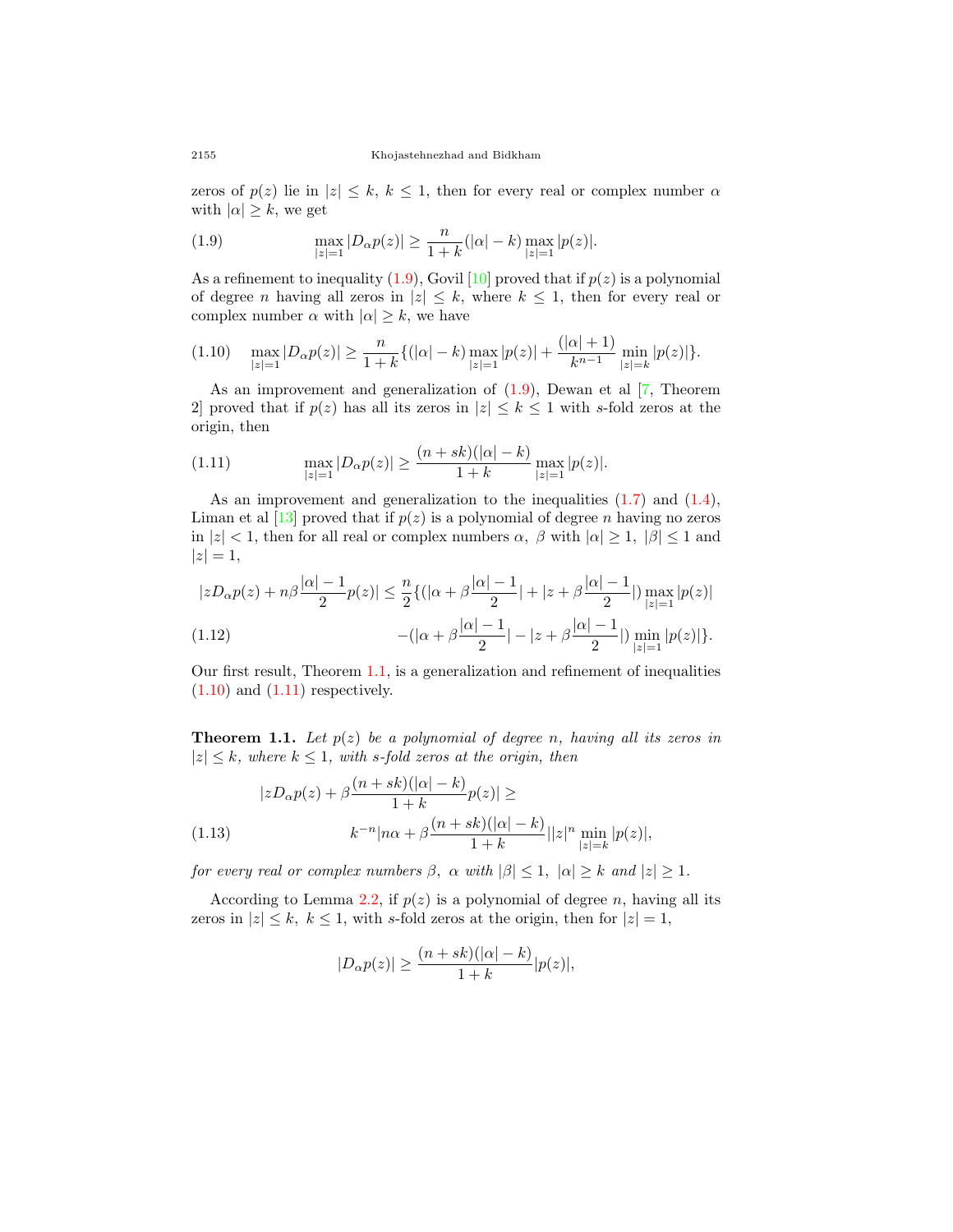zeros of  $p(z)$  lie in  $|z| \leq k, k \leq 1$ , then for every real or complex number  $\alpha$ with  $|\alpha| \geq k$ , we get

<span id="page-3-0"></span>(1.9) 
$$
\max_{|z|=1} |D_{\alpha}p(z)| \ge \frac{n}{1+k}(|\alpha|-k) \max_{|z|=1} |p(z)|.
$$

As a refinement to inequality  $(1.9)$  $(1.9)$  $(1.9)$ , Govil  $[10]$  $[10]$  proved that if  $p(z)$  is a polynomial of degree *n* having all zeros in  $|z| \leq k$ , where  $k \leq 1$ , then for every real or complex number  $\alpha$  with  $|\alpha| \geq k$ , we have

<span id="page-3-2"></span>
$$
(1.10) \quad \max_{|z|=1} |D_{\alpha}p(z)| \ge \frac{n}{1+k} \{ (|\alpha|-k) \max_{|z|=1} |p(z)| + \frac{(|\alpha|+1)}{k^{n-1}} \min_{|z|=k} |p(z)| \}.
$$

As an improvement and generalization of  $(1.9)$  $(1.9)$  $(1.9)$ , Dewan et al  $[7,$  $[7,$  Theorem 2] proved that if  $p(z)$  has all its zeros in  $|z| \leq k \leq 1$  with *s*-fold zeros at the origin, then

<span id="page-3-3"></span>(1.11) 
$$
\max_{|z|=1} |D_{\alpha}p(z)| \ge \frac{(n+sk)(|\alpha|-k)}{1+k} \max_{|z|=1} |p(z)|.
$$

As an improvement and generalization to the inequalities  $(1.7)$  $(1.7)$  and  $(1.4)$  $(1.4)$ , Liman et al  $\left[13\right]$  $\left[13\right]$  $\left[13\right]$  proved that if  $p(z)$  is a polynomial of degree *n* having no zeros in  $|z| < 1$ , then for all real or complex numbers  $\alpha$ ,  $\beta$  with  $|\alpha| \geq 1$ ,  $|\beta| \leq 1$  and  $|z|=1,$ 

<span id="page-3-5"></span>
$$
|zD_{\alpha}p(z) + n\beta \frac{|\alpha| - 1}{2}p(z)| \leq \frac{n}{2}\{(|\alpha + \beta \frac{|\alpha| - 1}{2}| + |z + \beta \frac{|\alpha| - 1}{2}|)\max_{|z| = 1} |p(z)|
$$
  
(1.12)
$$
-(|\alpha + \beta \frac{|\alpha| - 1}{2}| - |z + \beta \frac{|\alpha| - 1}{2}|)\min_{|z| = 1} |p(z)|\}.
$$

Our first result, Theorem [1.1](#page-3-1), is a generalization and refinement of inequalities  $(1.10)$  $(1.10)$  and  $(1.11)$  respectively.

<span id="page-3-1"></span>**Theorem 1.1.** Let  $p(z)$  be a polynomial of degree n, having all its zeros in  $|z| \leq k$ *, where*  $k \leq 1$ *, with s-fold zeros at the origin, then* 

<span id="page-3-4"></span>
$$
|zD_{\alpha}p(z) + \beta \frac{(n+sk)(|\alpha|-k)}{1+k}p(z)| \ge
$$
  
(1.13) 
$$
k^{-n}|n\alpha + \beta \frac{(n+sk)(|\alpha|-k)}{1+k}||z|^n \min_{|z|=k} |p(z)|,
$$

*for every real or complex numbers*  $\beta$ ,  $\alpha$  *with*  $|\beta| \leq 1$ ,  $|\alpha| \geq k$  *and*  $|z| \geq 1$ *.* 

According to Lemma [2.2](#page-6-0), if  $p(z)$  is a polynomial of degree *n*, having all its zeros in  $|z| \leq k$ ,  $k \leq 1$ , with *s*-fold zeros at the origin, then for  $|z| = 1$ ,

$$
|D_{\alpha}p(z)| \ge \frac{(n+sk)(|\alpha|-k)}{1+k}|p(z)|,
$$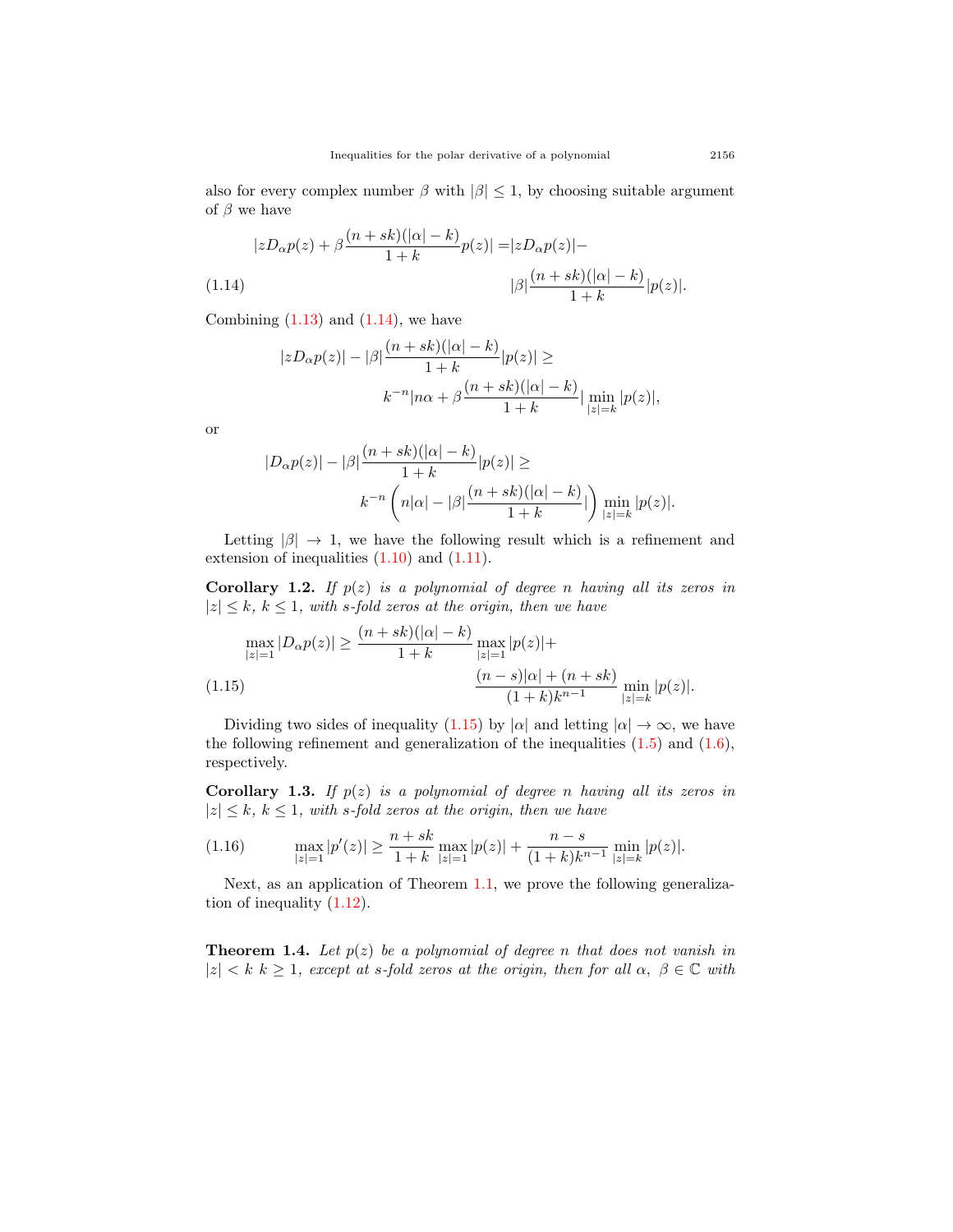also for every complex number  $\beta$  with  $|\beta| \leq 1$ , by choosing suitable argument of *β* we have

<span id="page-4-0"></span>
$$
|zD_{\alpha}p(z) + \beta \frac{(n+sk)(|\alpha|-k)}{1+k}p(z)| = |zD_{\alpha}p(z)| -
$$
  
(1.14) 
$$
|\beta| \frac{(n+sk)(|\alpha|-k)}{1+k} |p(z)|.
$$

Combining  $(1.13)$  $(1.13)$  $(1.13)$  and  $(1.14)$  $(1.14)$  $(1.14)$ , we have

$$
|zD_{\alpha}p(z)| - |\beta|\frac{(n+sk)(|\alpha|-k)}{1+k}|p(z)| \ge
$$
  

$$
k^{-n}|n\alpha + \beta\frac{(n+sk)(|\alpha|-k)}{1+k}| \min_{|z|=k} |p(z)|,
$$

or

$$
|D_{\alpha}p(z)| - |\beta| \frac{(n+sk)(|\alpha|-k)}{1+k} |p(z)| \ge
$$
  

$$
k^{-n} \left( n|\alpha| - |\beta| \frac{(n+sk)(|\alpha|-k)}{1+k} | \right) \min_{|z|=k} |p(z)|.
$$

Letting  $|\beta| \to 1$ , we have the following result which is a refinement and extension of inequalities  $(1.10)$  $(1.10)$  $(1.10)$  and  $(1.11)$  $(1.11)$ .

**Corollary 1.2.** *If p*(*z*) *is a polynomial of degree n having all its zeros in*  $|z| \leq k$ ,  $k \leq 1$ , with *s-fold zeros at the origin, then we have* 

<span id="page-4-1"></span>
$$
\max_{|z|=1} |D_{\alpha}p(z)| \ge \frac{(n+sk)(|\alpha|-k)}{1+k} \max_{|z|=1} |p(z)| +
$$
  
(1.15)
$$
\frac{(n-s)|\alpha| + (n+sk)}{(1+k)k^{n-1}} \min_{|z|=k} |p(z)|.
$$

Dividing two sides of inequality ([1.15\)](#page-4-1) by  $|\alpha|$  and letting  $|\alpha| \to \infty$ , we have the following refinement and generalization of the inequalities  $(1.5)$  $(1.5)$  and  $(1.6)$  $(1.6)$ , respectively.

**Corollary 1.3.** *If p*(*z*) *is a polynomial of degree n having all its zeros in*  $|z| \leq k$ ,  $k \leq 1$ , with *s-fold zeros at the origin, then we have* 

$$
(1.16) \qquad \max_{|z|=1} |p'(z)| \ge \frac{n+sk}{1+k} \max_{|z|=1} |p(z)| + \frac{n-s}{(1+k)k^{n-1}} \min_{|z|=k} |p(z)|.
$$

Next, as an application of Theorem [1.1](#page-3-1), we prove the following generalization of inequality ([1.12\)](#page-3-5).

<span id="page-4-2"></span>**Theorem 1.4.** Let  $p(z)$  be a polynomial of degree *n* that does not vanish in  $|z| < k$  *k*  $\geq 1$ *, except at s-fold zeros at the origin, then for all*  $\alpha, \beta \in \mathbb{C}$  with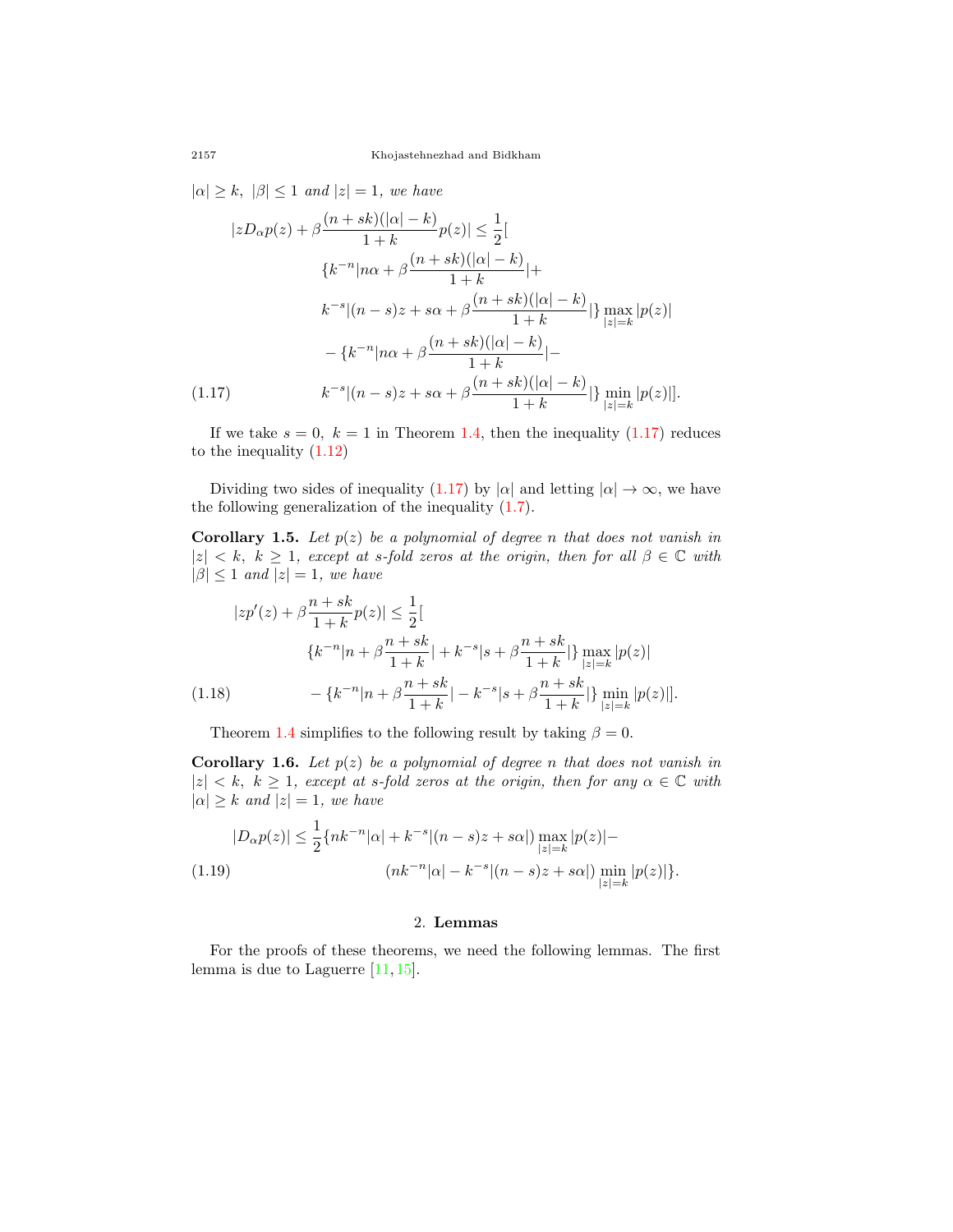$| \alpha | \geq k, | \beta | \leq 1$  *and*  $|z| = 1$ *, we have* 

$$
|zD_{\alpha}p(z) + \beta \frac{(n+sk)(|\alpha|-k)}{1+k}p(z)| \le \frac{1}{2}[
$$
  

$$
\{k^{-n}|n\alpha + \beta \frac{(n+sk)(|\alpha|-k)}{1+k}| +
$$
  

$$
k^{-s}|(n-s)z + s\alpha + \beta \frac{(n+sk)(|\alpha|-k)}{1+k}|\} \max_{|z|=k} |p(z)|
$$
  

$$
- \{k^{-n}|n\alpha + \beta \frac{(n+sk)(|\alpha|-k)}{1+k}| -
$$
  
(1.17)  

$$
k^{-s}|(n-s)z + s\alpha + \beta \frac{(n+sk)(|\alpha|-k)}{1+k}|\} \min_{|z|=k} |p(z)|].
$$

<span id="page-5-0"></span>If we take  $s = 0$ ,  $k = 1$  in Theorem [1.4,](#page-4-2) then the inequality  $(1.17)$  $(1.17)$  reduces to the inequality [\(1.12](#page-3-5))

Dividing two sides of inequality ([1.17\)](#page-5-0) by  $|\alpha|$  and letting  $|\alpha| \to \infty$ , we have the following generalization of the inequality ([1.7](#page-2-3)).

**Corollary 1.5.** *Let*  $p(z)$  *be a polynomial of degree n that does not vanish in*  $|z| < k$ ,  $k \geq 1$ , except at *s*-fold zeros at the origin, then for all  $\beta \in \mathbb{C}$  with  $|\beta| \leq 1$  *and*  $|z| = 1$ *, we have* 

$$
|zp'(z) + \beta \frac{n+sk}{1+k}p(z)| \le \frac{1}{2}[
$$
  

$$
\{k^{-n}|n+\beta \frac{n+sk}{1+k}|+k^{-s}|s+\beta \frac{n+sk}{1+k}| \} \max_{|z|=k} |p(z)|
$$
  
(1.18) 
$$
- \{k^{-n}|n+\beta \frac{n+sk}{1+k}| - k^{-s}|s+\beta \frac{n+sk}{1+k}| \} \min_{|z|=k} |p(z)|].
$$

Theorem [1.4](#page-4-2) simplifies to the following result by taking  $\beta = 0$ .

**Corollary 1.6.** *Let*  $p(z)$  *be a polynomial of degree n that does not vanish in*  $|z| < k$ ,  $k \geq 1$ , except at *s*-fold zeros at the origin, then for any  $\alpha \in \mathbb{C}$  with  $| \alpha | \geq k$  *and*  $|z| = 1$ *, we have* 

$$
|D_{\alpha}p(z)| \le \frac{1}{2} \{ nk^{-n} |\alpha| + k^{-s} |(n-s)z + s\alpha| \} \max_{|z|=k} |p(z)| -
$$
  
(1.19)  

$$
(nk^{-n} |\alpha| - k^{-s} |(n-s)z + s\alpha|) \min_{|z|=k} |p(z)| \}.
$$

## 2. **Lemmas**

For the proofs of these theorems, we need the following lemmas. The first lemma is due to Laguerre  $[11, 15]$  $[11, 15]$  $[11, 15]$  $[11, 15]$ .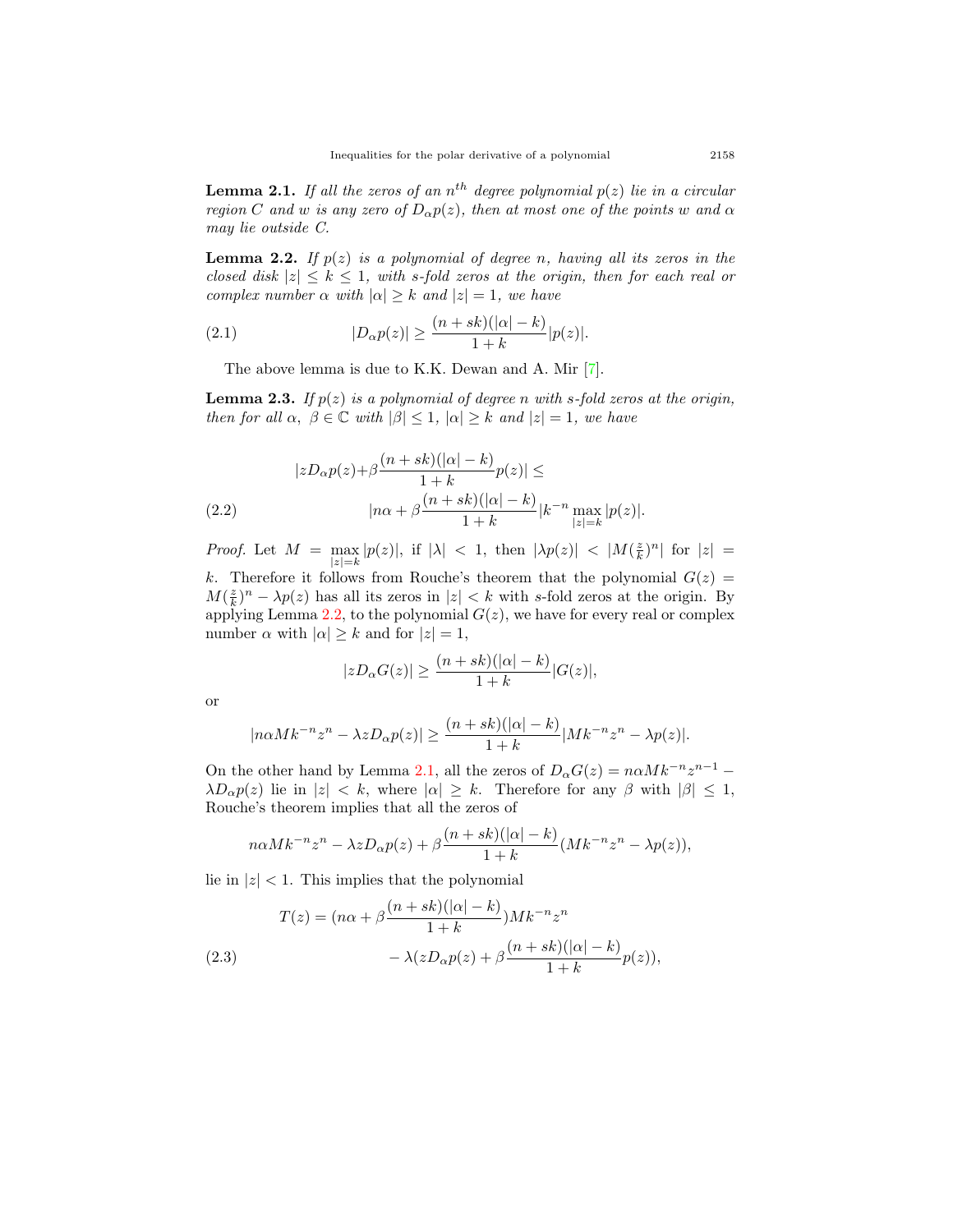<span id="page-6-1"></span>**Lemma 2.1.** If all the zeros of an  $n^{th}$  degree polynomial  $p(z)$  lie in a circular *region C and w is any zero of*  $D_{\alpha}p(z)$ *, then at most one of the points w and*  $\alpha$ *may lie outside C.*

<span id="page-6-0"></span>**Lemma 2.2.** If  $p(z)$  *is a polynomial of degree n, having all its zeros in the closed disk*  $|z| \leq k \leq 1$ , with *s*-fold zeros at the origin, then for each real or *complex number*  $\alpha$  *with*  $|\alpha| \geq k$  *and*  $|z| = 1$ *, we have* 

(2.1) 
$$
|D_{\alpha}p(z)| \geq \frac{(n+sk)(|\alpha|-k)}{1+k}|p(z)|.
$$

The above lemma is due to K.K. Dewan and A. Mir [[7\]](#page-14-11).

<span id="page-6-2"></span>**Lemma 2.3.** *If p*(*z*) *is a polynomial of degree n with s-fold zeros at the origin, then for all*  $\alpha$ ,  $\beta \in \mathbb{C}$  *with*  $|\beta| \leq 1$ ,  $|\alpha| \geq k$  *and*  $|z| = 1$ *, we have* 

$$
|zD_{\alpha}p(z)+\beta \frac{(n+sk)(|\alpha|-k)}{1+k}p(z)| \le
$$
  
(2.2) 
$$
|n\alpha + \beta \frac{(n+sk)(|\alpha|-k)}{1+k}|k^{-n}\max_{|z|=k}|p(z)|.
$$

*Proof.* Let  $M = \max$ *|z|*=*k*  $|p(z)|$ , if  $|\lambda|$  < 1, then  $|\lambda p(z)|$  <  $|M(\frac{z}{k})^n|$  for  $|z|$  = *k*. Therefore it follows from Rouche's theorem that the polynomial  $G(z)$ *M*( $\frac{z}{k}$ )<sup>*n*</sup> − *λp*(*z*) has all its zeros in |*z*| *< k* with *s*-fold zeros at the origin. By

applying Lemma [2.2,](#page-6-0) to the polynomial  $G(z)$ , we have for every real or complex number  $\alpha$  with  $|\alpha| \geq k$  and for  $|z| = 1$ ,

$$
|zD_{\alpha}G(z)| \ge \frac{(n+sk)(|\alpha|-k)}{1+k}|G(z)|,
$$

or

$$
|n\alpha Mk^{-n}z^n - \lambda z D_{\alpha}p(z)| \ge \frac{(n+sk)(|\alpha|-k)}{1+k} |Mk^{-n}z^n - \lambda p(z)|.
$$

On the other hand by Lemma [2.1](#page-6-1), all the zeros of  $D_{\alpha}G(z) = n\alpha Mk^{-n}z^{n-1}$ *λD*<sub>*α*</sub> $p(z)$  lie in  $|z| < k$ , where  $|α| \geq k$ . Therefore for any *β* with  $|β| \leq 1$ , Rouche's theorem implies that all the zeros of

$$
n\alpha Mk^{-n}z^n - \lambda zD_{\alpha}p(z) + \beta \frac{(n+sk)(|\alpha|-k)}{1+k}(Mk^{-n}z^n - \lambda p(z)),
$$

lie in  $|z|$  < 1. This implies that the polynomial

(2.3)  
\n
$$
T(z) = (n\alpha + \beta \frac{(n+sk)(|\alpha|-k)}{1+k})Mk^{-n}z^{n}
$$
\n
$$
-\lambda(zD_{\alpha}p(z) + \beta \frac{(n+sk)(|\alpha|-k)}{1+k}p(z)),
$$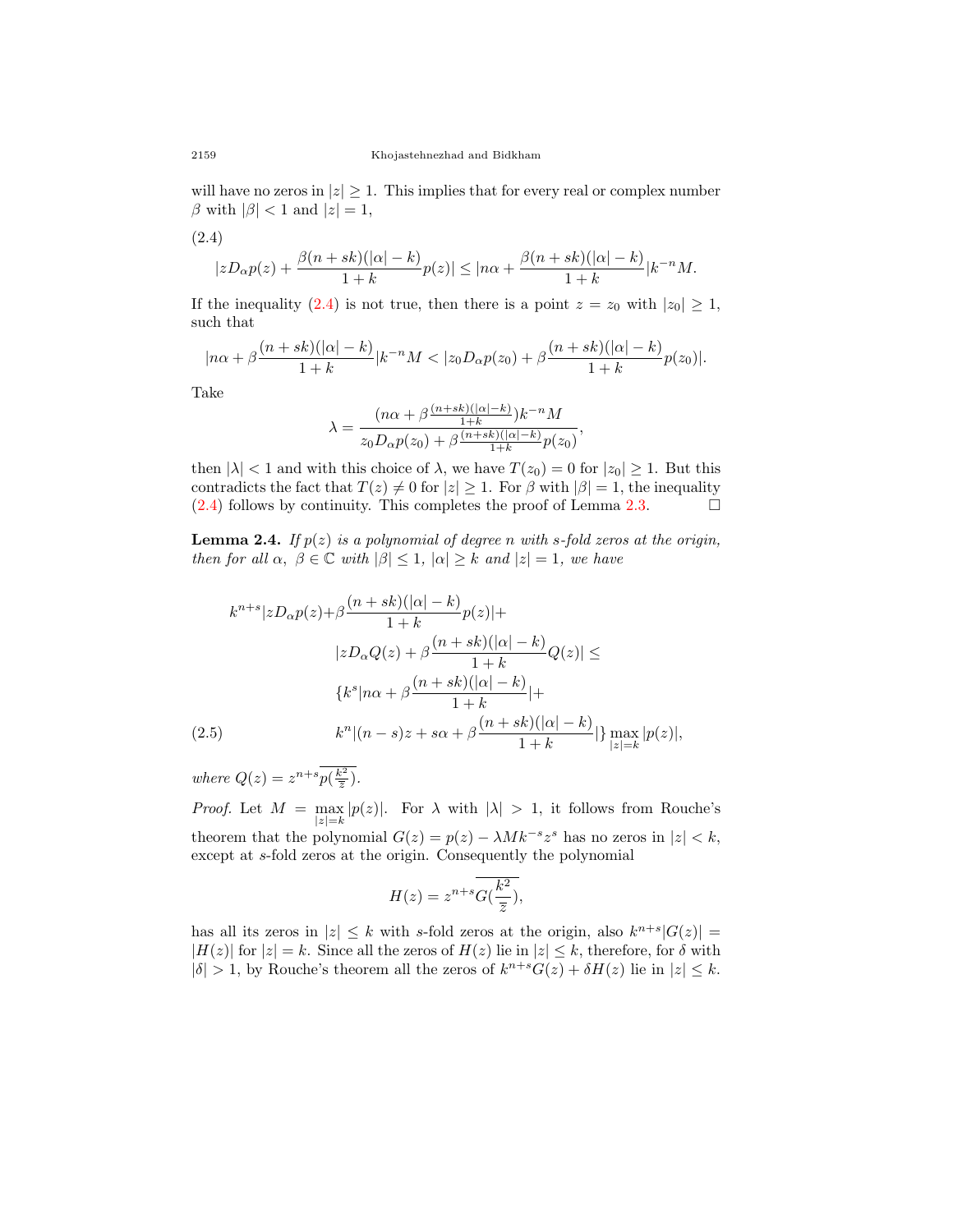will have no zeros in  $|z| \geq 1$ . This implies that for every real or complex number  $\beta$  with  $|\beta| < 1$  and  $|z| = 1$ ,

<span id="page-7-0"></span>
$$
(2.4)
$$

$$
|zD_{\alpha}p(z)+\frac{\beta(n+sk)(|\alpha|-k)}{1+k}p(z)|\leq |n\alpha+\frac{\beta(n+sk)(|\alpha|-k)}{1+k}|k^{-n}M.
$$

If the inequality ([2.4](#page-7-0)) is not true, then there is a point  $z = z_0$  with  $|z_0| \geq 1$ , such that

$$
|n\alpha + \beta \frac{(n+sk)(|\alpha|-k)}{1+k} |k^{-n}M < |z_0D_{\alpha}p(z_0) + \beta \frac{(n+sk)(|\alpha|-k)}{1+k}p(z_0)|.
$$

Take

$$
\lambda = \frac{(n\alpha + \beta \frac{(n+sk)(|\alpha|-k)}{1+k})k^{-n}M}{z_0 D_{\alpha} p(z_0) + \beta \frac{(n+sk)(|\alpha|-k)}{1+k} p(z_0)}
$$

*,*

then  $|\lambda| < 1$  and with this choice of  $\lambda$ , we have  $T(z_0) = 0$  for  $|z_0| \ge 1$ . But this contradicts the fact that  $T(z) \neq 0$  for  $|z| \geq 1$ . For  $\beta$  with  $|\beta| = 1$ , the inequality  $(2.4)$  $(2.4)$  follows by continuity. This completes the proof of Lemma [2.3](#page-6-2).  $\Box$ 

<span id="page-7-1"></span>**Lemma 2.4.** *If p*(*z*) *is a polynomial of degree n with s-fold zeros at the origin, then for all*  $\alpha$ ,  $\beta \in \mathbb{C}$  *with*  $|\beta| \leq 1$ ,  $|\alpha| \geq k$  *and*  $|z| = 1$ *, we have* 

$$
k^{n+s}|zD_{\alpha}p(z)+\beta \frac{(n+sk)(|\alpha|-k)}{1+k}p(z)|+|zD_{\alpha}Q(z)+\beta \frac{(n+sk)(|\alpha|-k)}{1+k}Q(z)| \le
$$
  

$$
\{k^{s}|n\alpha+\beta \frac{(n+sk)(|\alpha|-k)}{1+k}|+(2.5) \qquad k^{n}|(n-s)z+s\alpha+\beta \frac{(n+sk)(|\alpha|-k)}{1+k}| \} \max_{|z|=k} |p(z)|,
$$

*where*  $Q(z) = z^{n+s}p(\frac{k^2}{\overline{z}})$ *.* 

*Proof.* Let *M* = max *|z|*=*k*  $|p(z)|$ . For  $\lambda$  with  $|\lambda| > 1$ , it follows from Rouche's theorem that the polynomial  $G(z) = p(z) - \lambda M k^{-s} z^s$  has no zeros in  $|z| < k$ , except at *s*-fold zeros at the origin. Consequently the polynomial

$$
H(z) = z^{n+s} \overline{G(\frac{k^2}{\overline{z}})},
$$

has all its zeros in  $|z| \leq k$  with *s*-fold zeros at the origin, also  $k^{n+s}|G(z)| =$  $|H(z)|$  for  $|z| = k$ . Since all the zeros of  $H(z)$  lie in  $|z| \leq k$ , therefore, for *δ* with  $|\delta| > 1$ , by Rouche's theorem all the zeros of  $k^{n+s}G(z) + \delta H(z)$  lie in  $|z| \leq k$ .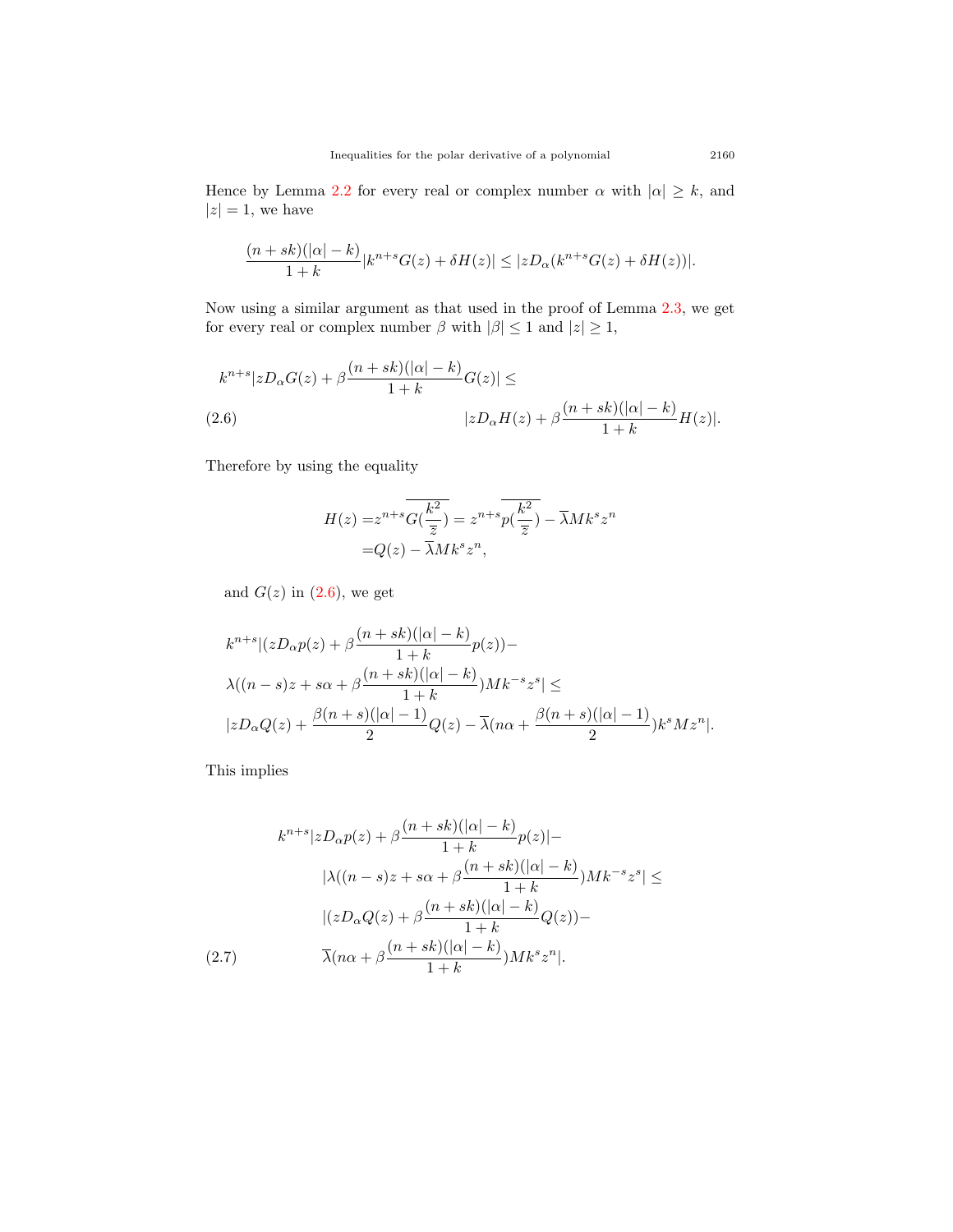Hence by Lemma [2.2](#page-6-0) for every real or complex number  $\alpha$  with  $|\alpha| \geq k$ , and  $|z|=1$ , we have

$$
\frac{(n+sk)(|\alpha|-k)}{1+k}|k^{n+s}G(z)+\delta H(z)| \leq |zD_{\alpha}(k^{n+s}G(z)+\delta H(z))|.
$$

Now using a similar argument as that used in the proof of Lemma [2.3](#page-6-2), we get for every real or complex number  $\beta$  with  $|\beta| \leq 1$  and  $|z| \geq 1$ ,

<span id="page-8-0"></span>
$$
k^{n+s}|zD_{\alpha}G(z)+\beta\frac{(n+sk)(|\alpha|-k)}{1+k}G(z)| \le
$$
  
(2.6) 
$$
|zD_{\alpha}H(z)+\beta\frac{(n+sk)(|\alpha|-k)}{1+k}H(z)|.
$$

Therefore by using the equality

$$
H(z) = z^{n+s} \overline{G(\frac{k^2}{\overline{z}})} = z^{n+s} \overline{p(\frac{k^2}{\overline{z}})} - \overline{\lambda} M k^s z^n
$$

$$
= Q(z) - \overline{\lambda} M k^s z^n,
$$

and  $G(z)$  in  $(2.6)$  $(2.6)$ , we get

$$
k^{n+s}|(zD_{\alpha}p(z)+\beta\frac{(n+sk)(|\alpha|-k)}{1+k}p(z))-
$$
  

$$
\lambda((n-s)z+s\alpha+\beta\frac{(n+sk)(|\alpha|-k)}{1+k})Mk^{-s}z^{s}| \le
$$
  

$$
|zD_{\alpha}Q(z)+\frac{\beta(n+s)(|\alpha|-1)}{2}Q(z)-\overline{\lambda}(n\alpha+\frac{\beta(n+s)(|\alpha|-1)}{2})k^{s}Mz^{n}|.
$$

This implies

<span id="page-8-1"></span>
$$
k^{n+s}|zD_{\alpha}p(z) + \beta \frac{(n+sk)(|\alpha|-k)}{1+k}p(z)|-
$$

$$
|\lambda((n-s)z + s\alpha + \beta \frac{(n+sk)(|\alpha|-k)}{1+k})Mk^{-s}z^{s}| \le
$$

$$
|(zD_{\alpha}Q(z) + \beta \frac{(n+sk)(|\alpha|-k)}{1+k}Q(z))-
$$

$$
(2.7) \qquad \overline{\lambda}(n\alpha + \beta \frac{(n+sk)(|\alpha|-k)}{1+k})Mk^{s}z^{n}|.
$$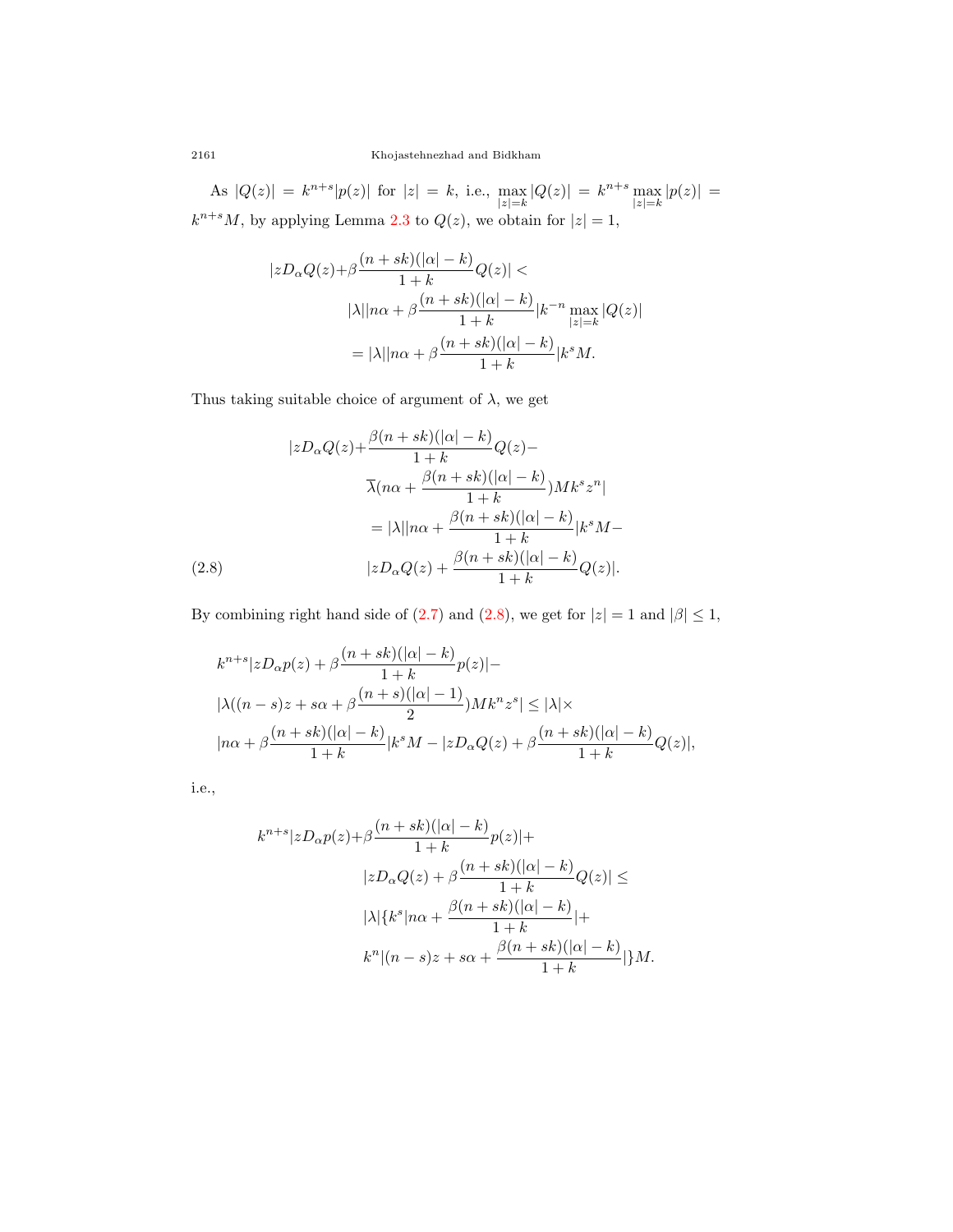2161 Khojastehnezhad and Bidkham

As  $|Q(z)| = k^{n+s} |p(z)|$  for  $|z| = k$ , i.e., max *|z|*=*k*  $|Q(z)| = k^{n+s}$  max *|z|*=*k*  $|p(z)| =$  $k^{n+s}M$ , by applying Lemma [2.3](#page-6-2) to  $Q(z)$ , we obtain for  $|z|=1$ ,

$$
|zD_{\alpha}Q(z)+\beta \frac{(n+sk)(|\alpha|-k)}{1+k}Q(z)| |\lambda||n\alpha+\beta \frac{(n+sk)(|\alpha|-k)}{1+k}|k^{-n}\max_{|z|=k}|Q(z)| =|\lambda||n\alpha+\beta \frac{(n+sk)(|\alpha|-k)}{1+k}|k^{s}M.
$$

Thus taking suitable choice of argument of  $\lambda$ , we get

$$
|zD_{\alpha}Q(z)+\frac{\beta(n+sk)(|\alpha|-k)}{1+k}Q(z)-
$$

$$
\overline{\lambda}(n\alpha+\frac{\beta(n+sk)(|\alpha|-k)}{1+k})Mk^{s}z^{n}|
$$

$$
=|\lambda||n\alpha+\frac{\beta(n+sk)(|\alpha|-k)}{1+k}|k^{s}M-(2.8)
$$

$$
|zD_{\alpha}Q(z)+\frac{\beta(n+sk)(|\alpha|-k)}{1+k}Q(z)|.
$$

<span id="page-9-0"></span>By combining right hand side of ([2.7\)](#page-8-1) and [\(2.8](#page-9-0)), we get for  $|z| = 1$  and  $|\beta| \leq 1$ ,

$$
\label{eq:2.1} \begin{split} &k^{n+s}|zD_{\alpha}p(z)+\beta\frac{(n+sk)(|\alpha|-k)}{1+k}p(z)|-\\ &|\lambda((n-s)z+s\alpha+\beta\frac{(n+s)(|\alpha|-1)}{2})Mk^nz^s|\leq|\lambda|\times\\ &|n\alpha+\beta\frac{(n+sk)(|\alpha|-k)}{1+k}|k^sM-|zD_{\alpha}Q(z)+\beta\frac{(n+sk)(|\alpha|-k)}{1+k}Q(z)|, \end{split}
$$

i.e.,

$$
k^{n+s}|zD_{\alpha}p(z)+\beta \frac{(n+sk)(|\alpha|-k)}{1+k}p(z)|+|zD_{\alpha}Q(z)+\beta \frac{(n+sk)(|\alpha|-k)}{1+k}Q(z)|\leq|\lambda|\{k^s|n\alpha+\frac{\beta (n+sk)(|\alpha|-k)}{1+k}|+k^n|(n-s)z+s\alpha+\frac{\beta (n+sk)(|\alpha|-k)}{1+k}|\}M.
$$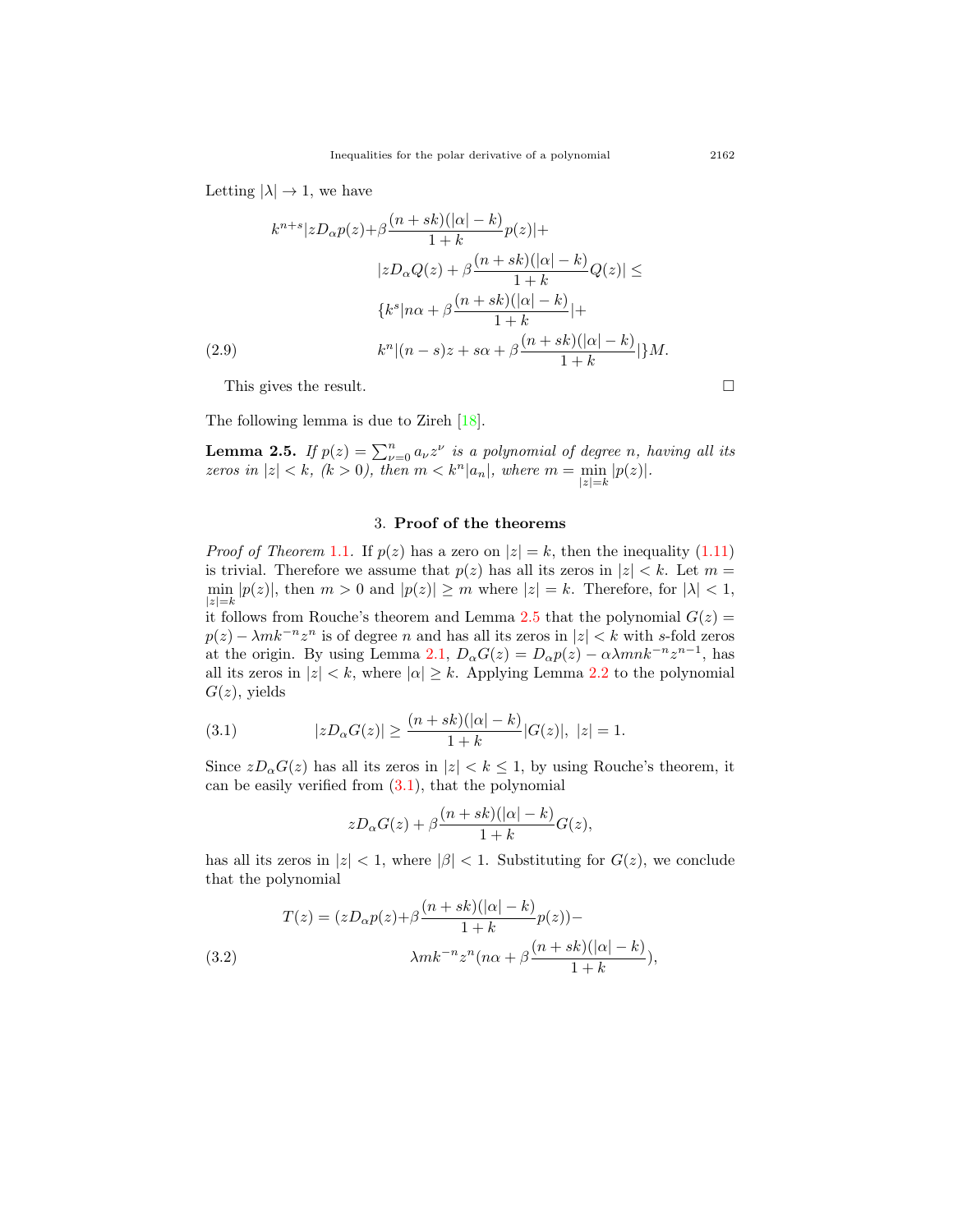Letting  $|\lambda| \to 1$ , we have

$$
k^{n+s}|zD_{\alpha}p(z)+\beta\frac{(n+sk)(|\alpha|-k)}{1+k}p(z)|+
$$

$$
|zD_{\alpha}Q(z)+\beta\frac{(n+sk)(|\alpha|-k)}{1+k}Q(z)| \le
$$

$$
\{k^s|n\alpha+\beta\frac{(n+sk)(|\alpha|-k)}{1+k}|+
$$

$$
(2.9)
$$

$$
k^n|(n-s)z+s\alpha+\beta\frac{(n+sk)(|\alpha|-k)}{1+k}|\}M.
$$

This gives the result.  $\Box$ 

The following lemma is due to Zireh [[18\]](#page-15-3).

<span id="page-10-0"></span>**Lemma 2.5.** *If*  $p(z) = \sum_{\nu=0}^{n} a_{\nu} z^{\nu}$  *is a polynomial of degree n, having all its zeros in*  $|z| < k$ *, (k > 0), then*  $m < k^n |a_n|$ *, where*  $m = \min_{|z|=k}$  $|p(z)|$ .

### 3. **Proof of the theorems**

*Proof of Theorem* [1.1](#page-3-1). If  $p(z)$  has a zero on  $|z| = k$ , then the inequality ([1.11](#page-3-3)) is trivial. Therefore we assume that  $p(z)$  has all its zeros in  $|z| < k$ . Let  $m =$  $\min |p(z)|$ , then  $m > 0$  and  $|p(z)| \geq m$  where  $|z| = k$ . Therefore, for  $|\lambda| < 1$ , *|z|*=*k* it follows from Rouche's theorem and Lemma [2.5](#page-10-0) that the polynomial  $G(z)$  $p(z) - \lambda mk^{-n}z^n$  is of degree *n* and has all its zeros in  $|z| < k$  with *s*-fold zeros at the origin. By using Lemma [2.1](#page-6-1),  $D_{\alpha}G(z) = D_{\alpha}p(z) - \alpha\lambda mnk^{-n}z^{n-1}$ , has all its zeros in  $|z| < k$ , where  $|\alpha| \geq k$ . Applying Lemma [2.2](#page-6-0) to the polynomial  $G(z)$ , yields

<span id="page-10-1"></span>(3.1) 
$$
|zD_{\alpha}G(z)| \geq \frac{(n+sk)(|\alpha|-k)}{1+k}|G(z)|, |z|=1.
$$

Since  $zD_{\alpha}G(z)$  has all its zeros in  $|z| < k \leq 1$ , by using Rouche's theorem, it can be easily verified from  $(3.1)$  $(3.1)$  $(3.1)$ , that the polynomial

$$
zD_{\alpha}G(z)+\beta\frac{(n+sk)(|\alpha|-k)}{1+k}G(z),
$$

has all its zeros in  $|z| < 1$ , where  $|\beta| < 1$ . Substituting for  $G(z)$ , we conclude that the polynomial

(3.2) 
$$
T(z) = (zD_{\alpha}p(z) + \beta \frac{(n+sk)(|\alpha|-k)}{1+k}p(z)) -
$$

$$
\lambda mk^{-n}z^{n}(n\alpha + \beta \frac{(n+sk)(|\alpha|-k)}{1+k}),
$$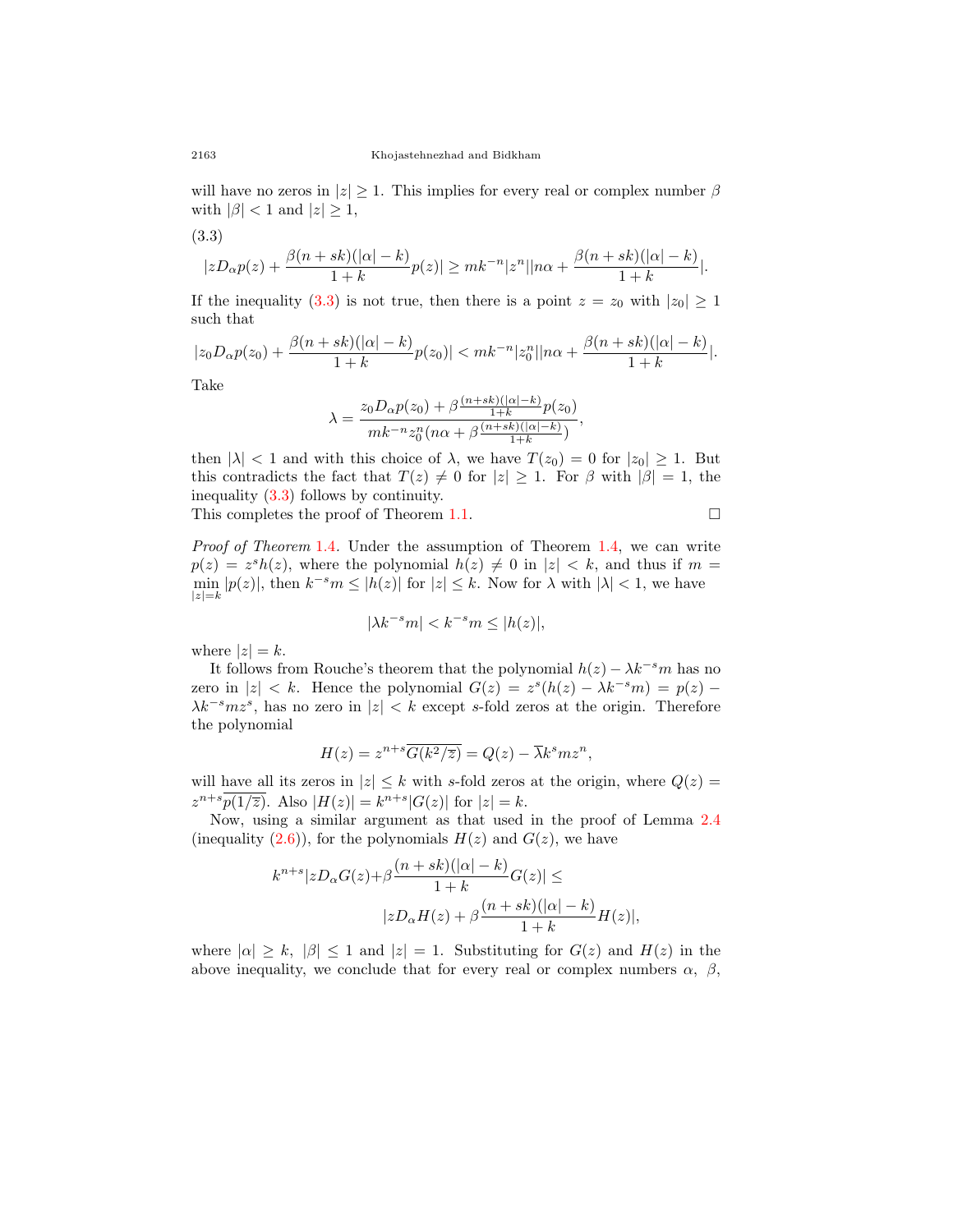will have no zeros in  $|z| \geq 1$ . This implies for every real or complex number  $\beta$ with  $|\beta| < 1$  and  $|z| \geq 1$ ,

<span id="page-11-0"></span>
$$
(3.3)
$$

$$
|zD_{\alpha}p(z)+\frac{\beta(n+sk)(|\alpha|-k)}{1+k}p(z)|\geq mk^{-n}|z^n||n\alpha+\frac{\beta(n+sk)(|\alpha|-k)}{1+k}|.
$$

If the inequality ([3.3\)](#page-11-0) is not true, then there is a point  $z = z_0$  with  $|z_0| \ge 1$ such that

$$
|z_0D_{\alpha}p(z_0)+\frac{\beta(n+sk)(|\alpha|-k)}{1+k}p(z_0)|
$$

Take

$$
\lambda = \frac{z_0 D_{\alpha} p(z_0) + \beta \frac{(n+s)k(|\alpha|-k)}{1+k} p(z_0)}{mk^{-n} z_0^n (n\alpha + \beta \frac{(n+s)k(|\alpha|-k)}{1+k})},
$$

then  $|\lambda| < 1$  and with this choice of  $\lambda$ , we have  $T(z_0) = 0$  for  $|z_0| \ge 1$ . But this contradicts the fact that  $T(z) \neq 0$  for  $|z| \geq 1$ . For  $\beta$  with  $|\beta| = 1$ , the inequality [\(3.3\)](#page-11-0) follows by continuity.

This completes the proof of Theorem [1.1](#page-3-1).  $\Box$ 

*Proof of Theorem* [1.4](#page-4-2)*.* Under the assumption of Theorem [1.4](#page-4-2), we can write  $p(z) = z^{s}h(z)$ , where the polynomial  $h(z) \neq 0$  in  $|z| < k$ , and thus if  $m =$  $\min |p(z)|$ , then  $k^{-s}m \leq |h(z)|$  for  $|z| \leq k$ . Now for  $\lambda$  with  $|\lambda| < 1$ , we have *|z|*=*k*

$$
|\lambda k^{-s}m| < k^{-s}m \le |h(z)|,
$$

where  $|z| = k$ .

It follows from Rouche's theorem that the polynomial  $h(z) - \lambda k^{-s}m$  has no zero in  $|z| < k$ . Hence the polynomial  $G(z) = z<sup>s</sup>(h(z) - \lambda k^{-s}m) = p(z) - \lambda$ *λk−<sup>s</sup>mz<sup>s</sup>* , has no zero in *|z| < k* except *s*-fold zeros at the origin. Therefore the polynomial

$$
H(z) = z^{n+s} \overline{G(k^2/\overline{z})} = Q(z) - \overline{\lambda} k^s m z^n,
$$

will have all its zeros in  $|z| \leq k$  with *s*-fold zeros at the origin, where  $Q(z) =$  $z^{n+s}p(1/\overline{z})$ . Also  $|H(z)| = k^{n+s}|G(z)|$  for  $|z| = k$ .

Now, using a similar argument as that used in the proof of Lemma [2.4](#page-7-1) (inequality  $(2.6)$  $(2.6)$ ), for the polynomials  $H(z)$  and  $G(z)$ , we have

$$
k^{n+s}|zD_{\alpha}G(z)+\beta \frac{(n+sk)(|\alpha|-k)}{1+k}G(z)| \le
$$
  

$$
|zD_{\alpha}H(z)+\beta \frac{(n+sk)(|\alpha|-k)}{1+k}H(z)|,
$$

where  $|\alpha| \geq k$ ,  $|\beta| \leq 1$  and  $|z| = 1$ . Substituting for  $G(z)$  and  $H(z)$  in the above inequality, we conclude that for every real or complex numbers  $\alpha$ ,  $\beta$ ,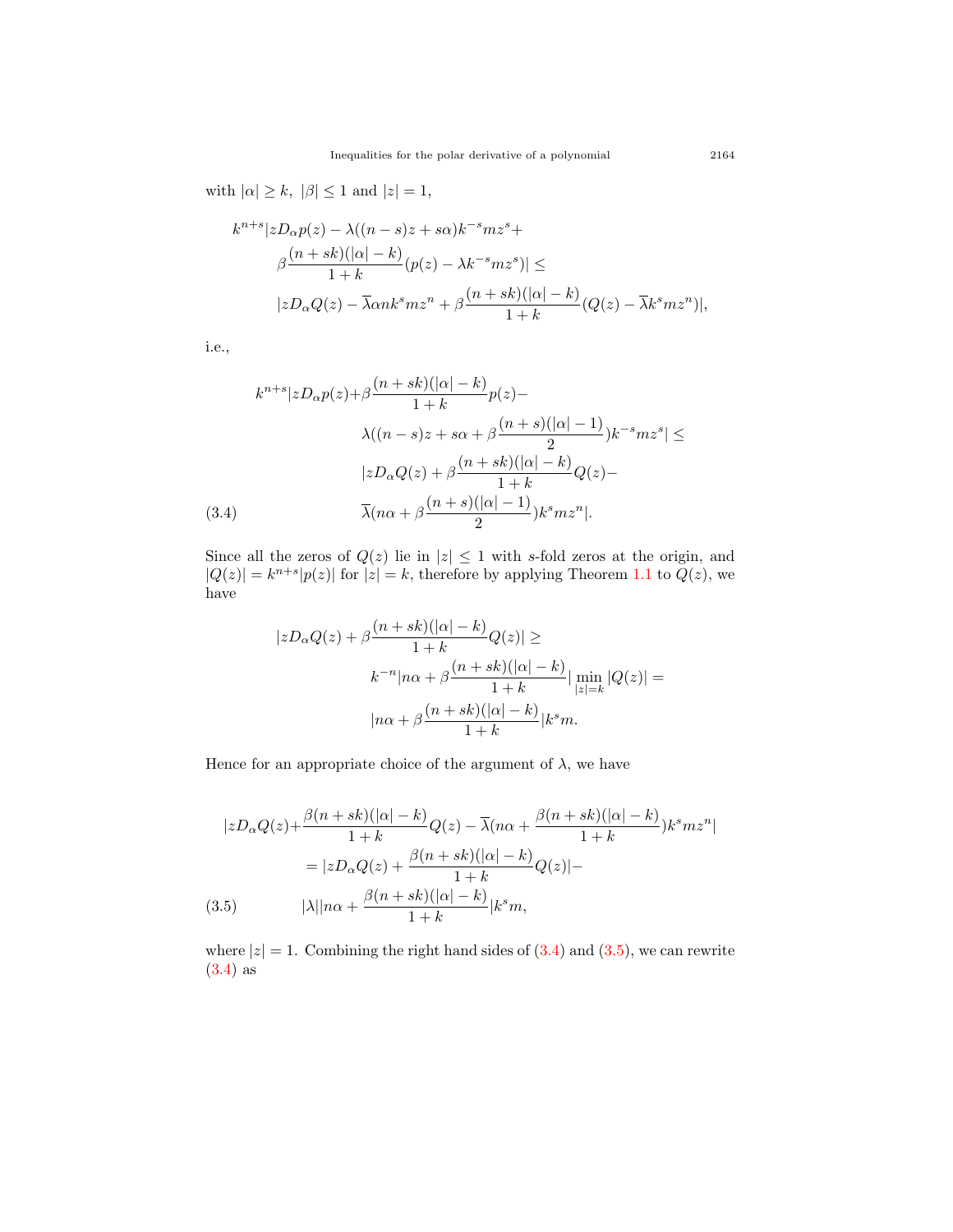with  $|\alpha| \geq k$ ,  $|\beta| \leq 1$  and  $|z| = 1$ ,

$$
k^{n+s}|zD_{\alpha}p(z) - \lambda((n-s)z + s\alpha)k^{-s}mz^{s} +
$$
  

$$
\beta \frac{(n+sk)(|\alpha|-k)}{1+k} (p(z) - \lambda k^{-s}mz^{s})| \le
$$
  

$$
|zD_{\alpha}Q(z) - \overline{\lambda}\alpha nk^{s}mz^{n} + \beta \frac{(n+sk)(|\alpha|-k)}{1+k} (Q(z) - \overline{\lambda}k^{s}mz^{n})|,
$$

i.e.,

$$
k^{n+s}|zD_{\alpha}p(z)+\beta\frac{(n+sk)(|\alpha|-k)}{1+k}p(z)-
$$

$$
\lambda((n-s)z+s\alpha+\beta\frac{(n+s)(|\alpha|-1)}{2})k^{-s}mz^{s}| \le
$$

$$
|zD_{\alpha}Q(z)+\beta\frac{(n+sk)(|\alpha|-k)}{1+k}Q(z)-
$$

$$
(3.4) \qquad \overline{\lambda}(n\alpha+\beta\frac{(n+s)(|\alpha|-1)}{2})k^{s}mz^{n}|.
$$

<span id="page-12-0"></span>Since all the zeros of  $Q(z)$  lie in  $|z| \leq 1$  with *s*-fold zeros at the origin, and  $|Q(z)| = k^{n+s} |p(z)|$  for  $|z| = k$ , therefore by applying Theorem [1.1](#page-3-1) to  $Q(z)$ , we have

$$
|zD_{\alpha}Q(z) + \beta \frac{(n+sk)(|\alpha|-k)}{1+k}Q(z)| \ge
$$
  

$$
k^{-n}|n\alpha + \beta \frac{(n+sk)(|\alpha|-k)}{1+k}| \min_{|z|=k} |Q(z)| =
$$
  

$$
|n\alpha + \beta \frac{(n+sk)(|\alpha|-k)}{1+k}|k^{s}m.
$$

Hence for an appropriate choice of the argument of  $\lambda$ , we have

$$
|zD_{\alpha}Q(z) + \frac{\beta(n+sk)(|\alpha|-k)}{1+k}Q(z) - \overline{\lambda}(n\alpha + \frac{\beta(n+sk)(|\alpha|-k)}{1+k})k^{s}mz^{n}|
$$
  

$$
= |zD_{\alpha}Q(z) + \frac{\beta(n+sk)(|\alpha|-k)}{1+k}Q(z)| -
$$
  
(3.5) 
$$
|\lambda||n\alpha + \frac{\beta(n+sk)(|\alpha|-k)}{1+k}|k^{s}m,
$$

<span id="page-12-1"></span>where  $|z|=1$ . Combining the right hand sides of  $(3.4)$  $(3.4)$  and  $(3.5)$  $(3.5)$ , we can rewrite ([3.4\)](#page-12-0) as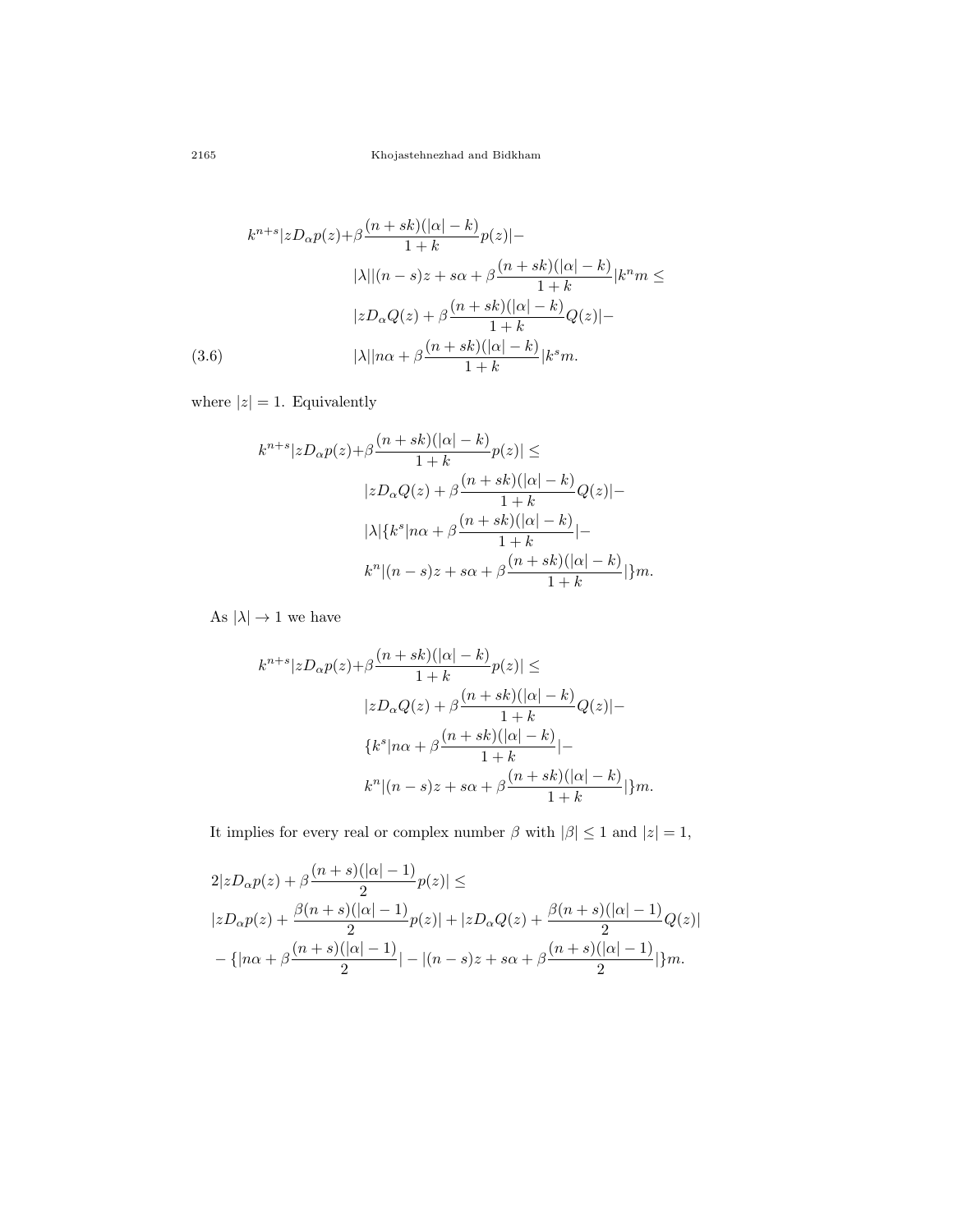$$
k^{n+s}|zD_{\alpha}p(z)+\beta\frac{(n+sk)(|\alpha|-k)}{1+k}p(z)|-
$$

$$
|\lambda||(n-s)z+s\alpha+\beta\frac{(n+sk)(|\alpha|-k)}{1+k}|k^{n}m \leq
$$

$$
|zD_{\alpha}Q(z)+\beta\frac{(n+sk)(|\alpha|-k)}{1+k}Q(z)|-
$$

$$
(3.6)
$$

$$
|\lambda||n\alpha+\beta\frac{(n+sk)(|\alpha|-k)}{1+k}|k^{s}m.
$$

where  $|z|=1$ . Equivalently

$$
k^{n+s}|zD_{\alpha}p(z)+\beta \frac{(n+sk)(|\alpha|-k)}{1+k}p(z)| \le
$$
  

$$
|zD_{\alpha}Q(z)+\beta \frac{(n+sk)(|\alpha|-k)}{1+k}Q(z)|-
$$
  

$$
|\lambda|\{k^s|n\alpha+\beta \frac{(n+sk)(|\alpha|-k)}{1+k}|-
$$
  

$$
k^n|(n-s)z+s\alpha+\beta \frac{(n+sk)(|\alpha|-k)}{1+k}|\}m.
$$

As  $|\lambda| \to 1$  we have

$$
k^{n+s}|zD_{\alpha}p(z)+\beta \frac{(n+sk)(|\alpha|-k)}{1+k}p(z)| \le
$$
  

$$
|zD_{\alpha}Q(z)+\beta \frac{(n+sk)(|\alpha|-k)}{1+k}Q(z)|-
$$
  

$$
{k^s|n\alpha+\beta \frac{(n+sk)(|\alpha|-k)}{1+k}|-}
$$
  

$$
k^n|(n-s)z+s\alpha+\beta \frac{(n+sk)(|\alpha|-k)}{1+k}|m.
$$

It implies for every real or complex number  $\beta$  with  $|\beta| \leq 1$  and  $|z| = 1$ ,

$$
2|zD_{\alpha}p(z) + \beta \frac{(n+s)(|\alpha|-1)}{2}p(z)| \le
$$
  
\n
$$
|zD_{\alpha}p(z) + \frac{\beta(n+s)(|\alpha|-1)}{2}p(z)| + |zD_{\alpha}Q(z) + \frac{\beta(n+s)(|\alpha|-1)}{2}Q(z)|
$$
  
\n
$$
-{|n\alpha + \beta \frac{(n+s)(|\alpha|-1)}{2}| - |(n-s)z + s\alpha + \beta \frac{(n+s)(|\alpha|-1)}{2}|m.
$$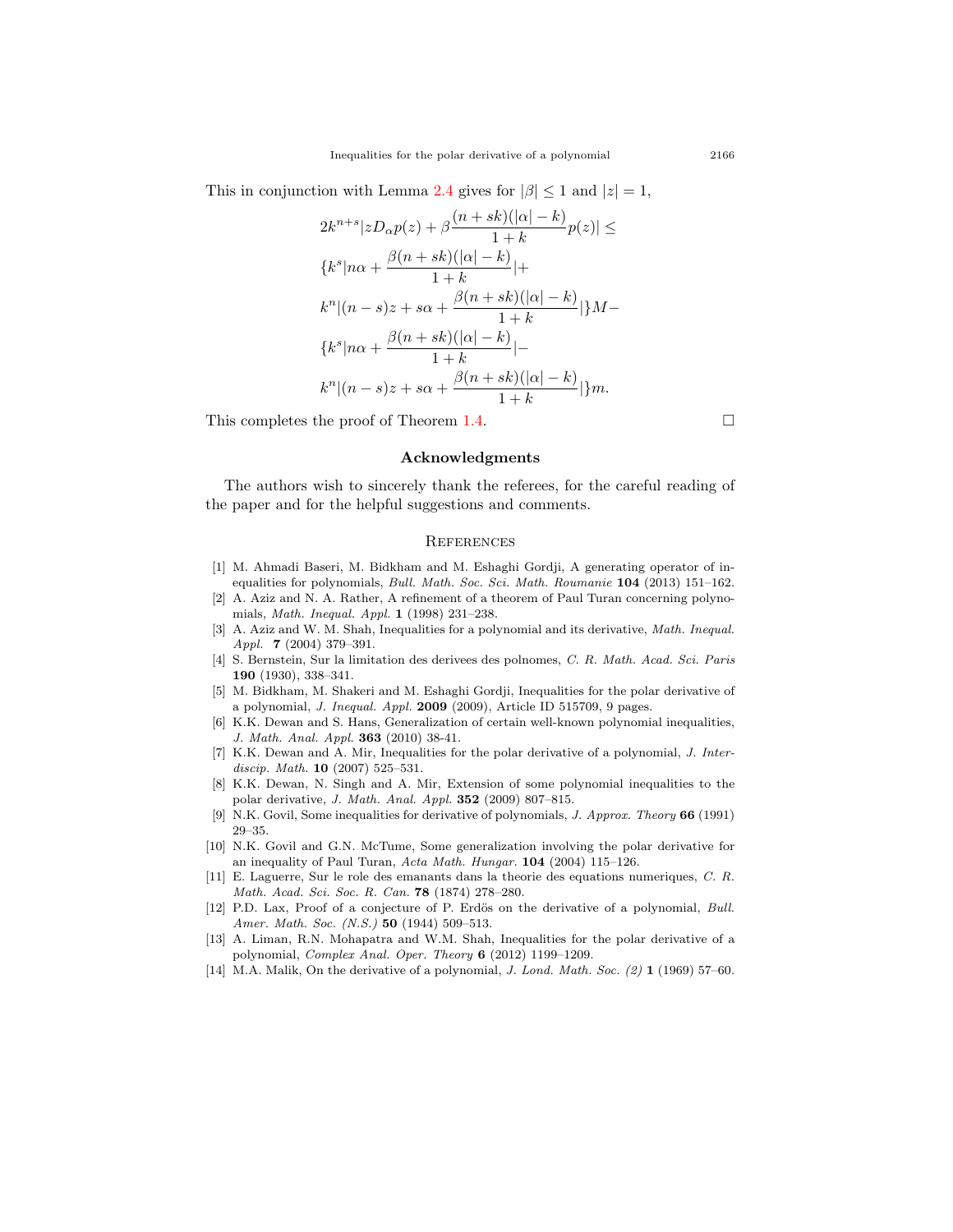This in conjunction with Lemma [2.4](#page-7-1) gives for  $|\beta| \leq 1$  and  $|z| = 1$ ,

$$
2k^{n+s}|zD_{\alpha}p(z) + \beta \frac{(n+sk)(|\alpha|-k)}{1+k}p(z)| \le
$$
  

$$
\{k^s|n\alpha + \frac{\beta(n+sk)(|\alpha|-k)}{1+k}| +
$$
  

$$
k^n|(n-s)z + s\alpha + \frac{\beta(n+sk)(|\alpha|-k)}{1+k}| \}M -
$$
  

$$
\{k^s|n\alpha + \frac{\beta(n+sk)(|\alpha|-k)}{1+k}| -
$$
  

$$
k^n|(n-s)z + s\alpha + \frac{\beta(n+sk)(|\alpha|-k)}{1+k}| \}m.
$$

This completes the proof of Theorem [1.4](#page-4-2).  $\Box$ 

#### **Acknowledgments**

The authors wish to sincerely thank the referees, for the careful reading of the paper and for the helpful suggestions and comments.

#### **REFERENCES**

- <span id="page-14-6"></span>[1] M. Ahmadi Baseri, M. Bidkham and M. Eshaghi Gordji, A generating operator of inequalities for polynomials, *Bull. Math. Soc. Sci. Math. Roumanie* **104** (2013) 151–162.
- <span id="page-14-9"></span>[2] A. Aziz and N. A. Rather, A refinement of a theorem of Paul Turan concerning polynomials, *Math. Inequal. Appl.* **1** (1998) 231–238.
- <span id="page-14-3"></span>[3] A. Aziz and W. M. Shah, Inequalities for a polynomial and its derivative, *Math. Inequal. Appl.* **7** (2004) 379–391.
- <span id="page-14-0"></span>[4] S. Bernstein, Sur la limitation des derivees des polnomes, *C. R. Math. Acad. Sci. Paris* **190** (1930), 338–341.
- <span id="page-14-7"></span>[5] M. Bidkham, M. Shakeri and M. Eshaghi Gordji, Inequalities for the polar derivative of a polynomial, *J. Inequal. Appl.* **2009** (2009), Article ID 515709, 9 pages.
- <span id="page-14-5"></span>[6] K.K. Dewan and S. Hans, Generalization of certain well-known polynomial inequalities, *J. Math. Anal. Appl.* **363** (2010) 38-41.
- <span id="page-14-11"></span>[7] K.K. Dewan and A. Mir, Inequalities for the polar derivative of a polynomial, *J. Interdiscip. Math.* **10** (2007) 525–531.
- <span id="page-14-8"></span>[8] K.K. Dewan, N. Singh and A. Mir, Extension of some polynomial inequalities to the polar derivative, *J. Math. Anal. Appl.* **352** (2009) 807–815.
- <span id="page-14-4"></span>[9] N.K. Govil, Some inequalities for derivative of polynomials, *J. Approx. Theory* **66** (1991) 29–35.
- <span id="page-14-10"></span>[10] N.K. Govil and G.N. McTume, Some generalization involving the polar derivative for an inequality of Paul Turan, *Acta Math. Hungar.* **104** (2004) 115–126.
- <span id="page-14-13"></span>[11] E. Laguerre, Sur le role des emanants dans la theorie des equations numeriques, *C. R. Math. Acad. Sci. Soc. R. Can.* **78** (1874) 278–280.
- <span id="page-14-1"></span>[12] P.D. Lax, Proof of a conjecture of P. Erdös on the derivative of a polynomial, *Bull. Amer. Math. Soc. (N.S.)* **50** (1944) 509–513.
- <span id="page-14-12"></span>[13] A. Liman, R.N. Mohapatra and W.M. Shah, Inequalities for the polar derivative of a polynomial, *Complex Anal. Oper. Theory* **6** (2012) 1199–1209.
- <span id="page-14-2"></span>[14] M.A. Malik, On the derivative of a polynomial, *J. Lond. Math. Soc. (2)* **1** (1969) 57–60.